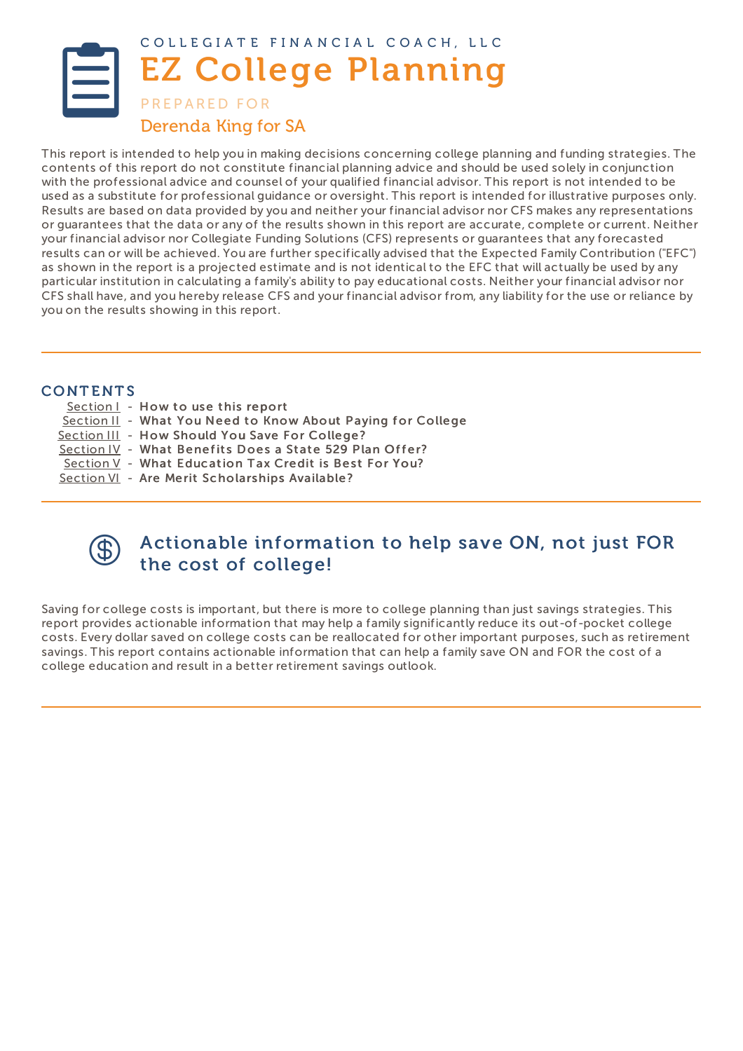<span id="page-0-0"></span>

This report is intended to help you in making decisions concerning college planning and funding strategies. The contents of this report do not constitute financial planning advice and should be used solely in conjunction with the professional advice and counsel of your qualified financial advisor. This report is not intended to be used as a substitute for professional guidance or oversight. This report is intended for illustrative purposes only. Results are based on data provided by you and neither your financial advisor nor CFS makes any representations or guarantees that the data or any of the results shown in this report are accurate, complete or current. Neither your financial advisor nor Collegiate Funding Solutions (CFS) represents or guarantees that any forecasted results can or will be achieved. You are further specifically advised that the Expected Family Contribution ("EFC") as shown in the report is a projected estimate and is not identical to the EFC that will actually be used by any particular institution in calculating a family's ability to pay educational costs. Neither your financial advisor nor CFS shall have, and you hereby release CFS and your financial advisor from, any liability for the use or reliance by you on the results showing in this report.

# **CONTENTS**

- [Section](#page-0-0) I How to use this report
- [Section](#page-0-0) II What You Need to Know About Paving for College
- [Section](#page-0-0) III How Should You Save For College?
- [Section](#page-0-0) IV What Benefits Does a State 529 Plan Offer?
- [Section](#page-0-0) V What Education Tax Credit is Best For You?
- [Section](#page-0-0) VI Are Merit Scholarships Available?



# Actionable information to help save ON, not just FOR the cost of college!

Saving for college costs is important, but there is more to college planning than just savings strategies. This report provides actionable information that may help a family significantly reduce its out-of-pocket college costs. Every dollar saved on college costs can be reallocated for other important purposes, such as retirement savings. This report contains actionable information that can help a family save ON and FOR the cost of a college education and result in a better retirement savings outlook.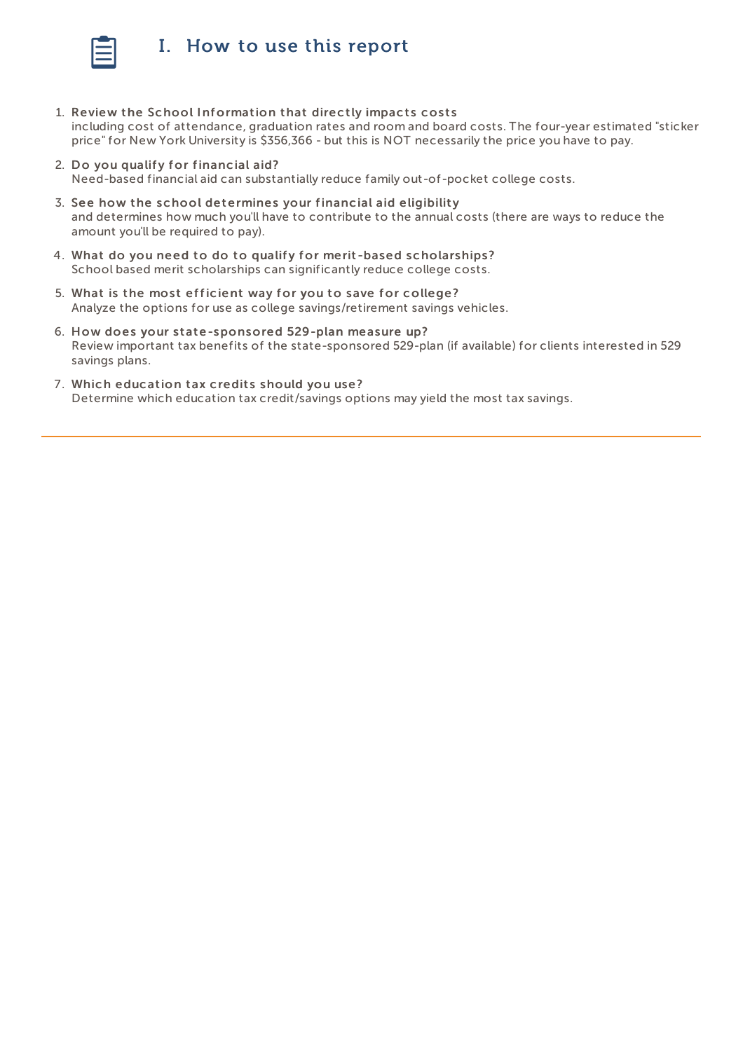

# I. How to use this report

- 1. Review the School Information that directly impacts costs including cost of attendance, graduation rates and room and board costs. The four-year estimated "sticker price" for New York University is \$356,366 - but this is NOT necessarily the price you have to pay.
- 2. Do you qualify for financial aid?

Need-based financial aid can substantially reduce family out-of-pocket college costs.

- 3. See how the school determines your financial aid eligibility and determines how much you'll have to contribute to the annual costs (there are ways to reduce the amount you'll be required to pay).
- 4. What do you need to do to qualify for merit-based scholarships? School based merit scholarships can significantly reduce college costs.
- 5. What is the most efficient way for you to save for college? Analyze the options for use as college savings/retirement savings vehicles.
- 6. How does your state-sponsored 529-plan measure up? Review important tax benefits of the state-sponsored 529-plan (if available) for clients interested in 529 savings plans.
- 7. Which education tax credits should you use? Determine which education tax credit/savings options may yield the most tax savings.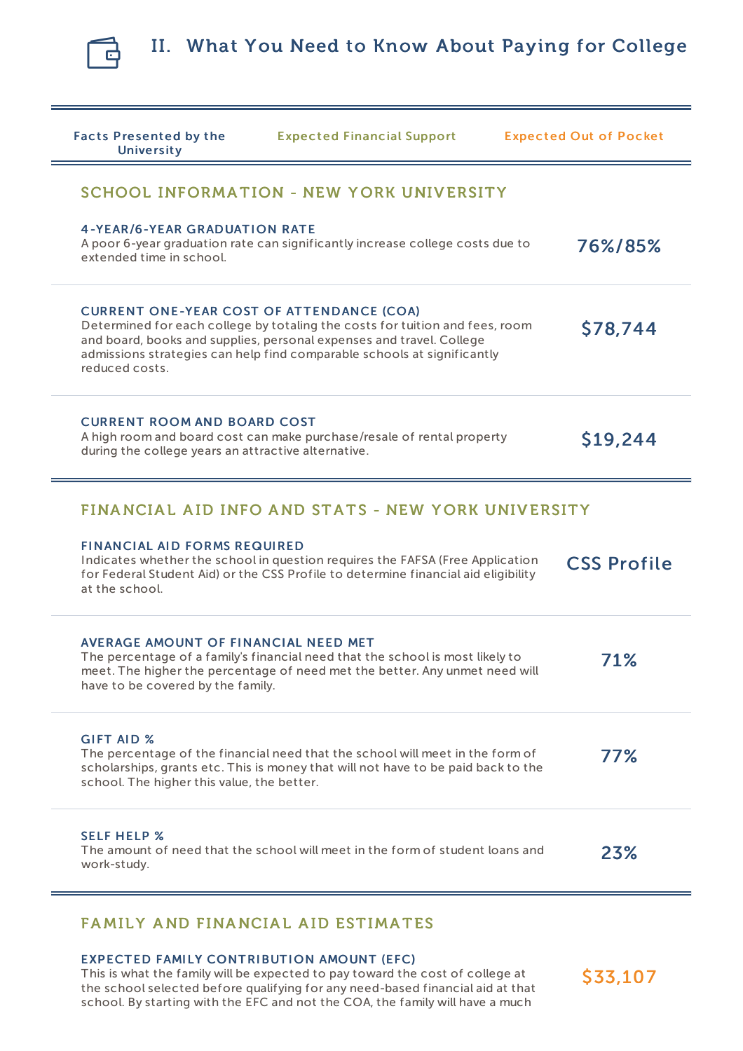

| <b>Facts Presented by the</b><br><b>University</b>                                        | <b>Expected Financial Support</b>                                                                                                                                                                                               | <b>Expected Out of Pocket</b> |
|-------------------------------------------------------------------------------------------|---------------------------------------------------------------------------------------------------------------------------------------------------------------------------------------------------------------------------------|-------------------------------|
|                                                                                           | SCHOOL INFORMATION - NEW YORK UNIVERSITY                                                                                                                                                                                        |                               |
| <b>4-YEAR/6-YEAR GRADUATION RATE</b><br>extended time in school.                          | A poor 6-year graduation rate can significantly increase college costs due to                                                                                                                                                   | 76%/85%                       |
| <b>CURRENT ONE-YEAR COST OF ATTENDANCE (COA)</b><br>reduced costs.                        | Determined for each college by totaling the costs for tuition and fees, room<br>and board, books and supplies, personal expenses and travel. College<br>admissions strategies can help find comparable schools at significantly | \$78,744                      |
| <b>CURRENT ROOM AND BOARD COST</b><br>during the college years an attractive alternative. | A high room and board cost can make purchase/resale of rental property                                                                                                                                                          | \$19,244                      |
|                                                                                           | FINANCIAL AID INFO AND STATS - NEW YORK UNIVERSITY                                                                                                                                                                              |                               |
| <b>FINANCIAL AID FORMS REQUIRED</b><br>at the school.                                     | Indicates whether the school in question requires the FAFSA (Free Application<br>for Federal Student Aid) or the CSS Profile to determine financial aid eligibility                                                             | <b>CSS Profile</b>            |
| AVERAGE AMOUNT OF FINANCIAL NEED MET<br>have to be covered by the family.                 | The percentage of a family's financial need that the school is most likely to<br>meet. The higher the percentage of need met the better. Any unmet need will                                                                    | 71%                           |
| <b>GIFT AID %</b><br>school. The higher this value, the better.                           | The percentage of the financial need that the school will meet in the form of<br>scholarships, grants etc. This is money that will not have to be paid back to the                                                              | 77%                           |
| <b>SELF HELP %</b><br>work-study.                                                         | The amount of need that the school will meet in the form of student loans and                                                                                                                                                   | 23%                           |

# FAMILY AND FINANCIAL AID ESTIMATES

# EXPECTED FAMILY CONTRIBUTION AMOUNT (EFC)

This is what the family will be expected to pay toward the cost of college at the school selected before qualifying for any need-based financial aid at that school. By starting with the EFC and not the COA, the family will have a much

\$33,107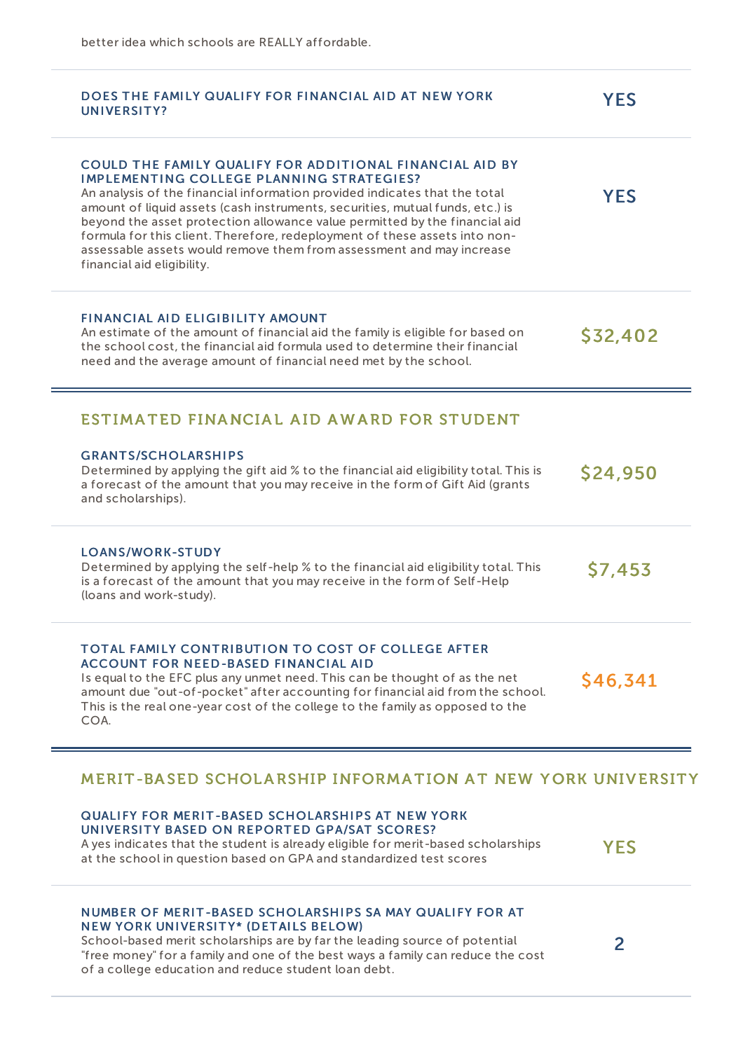| DOES THE FAMILY QUALIFY FOR FINANCIAL AID AT NEW YORK<br>UNIVERSITY?                                                                                                                                                                                                                                                                                                                                                                                                                                                                          | YES            |
|-----------------------------------------------------------------------------------------------------------------------------------------------------------------------------------------------------------------------------------------------------------------------------------------------------------------------------------------------------------------------------------------------------------------------------------------------------------------------------------------------------------------------------------------------|----------------|
| COULD THE FAMILY QUALIFY FOR ADDITIONAL FINANCIAL AID BY<br><b>IMPLEMENTING COLLEGE PLANNING STRATEGIES?</b><br>An analysis of the financial information provided indicates that the total<br>amount of liquid assets (cash instruments, securities, mutual funds, etc.) is<br>beyond the asset protection allowance value permitted by the financial aid<br>formula for this client. Therefore, redeployment of these assets into non-<br>assessable assets would remove them from assessment and may increase<br>financial aid eligibility. | <b>YES</b>     |
| <b>FINANCIAL AID ELIGIBILITY AMOUNT</b><br>An estimate of the amount of financial aid the family is eligible for based on<br>the school cost, the financial aid formula used to determine their financial<br>need and the average amount of financial need met by the school.                                                                                                                                                                                                                                                                 | \$32,402       |
| ESTIMATED FINANCIAL AID AWARD FOR STUDENT                                                                                                                                                                                                                                                                                                                                                                                                                                                                                                     |                |
| <b>GRANTS/SCHOLARSHIPS</b><br>Determined by applying the gift aid % to the financial aid eligibility total. This is<br>a forecast of the amount that you may receive in the form of Gift Aid (grants<br>and scholarships).                                                                                                                                                                                                                                                                                                                    | <b>S24,950</b> |
| <b>LOANS/WORK-STUDY</b><br>Determined by applying the self-help % to the financial aid eligibility total. This<br>is a forecast of the amount that you may receive in the form of Self-Help<br>(loans and work-study).                                                                                                                                                                                                                                                                                                                        | S7,453         |
| <b>TOTAL FAMILY CONTRIBUTION TO COST OF COLLEGE AFTER</b><br><b>ACCOUNT FOR NEED-BASED FINANCIAL AID</b><br>Is equal to the EFC plus any unmet need. This can be thought of as the net<br>amount due "out-of-pocket" after accounting for financial aid from the school.<br>This is the real one-year cost of the college to the family as opposed to the<br>COA.                                                                                                                                                                             | S46,341        |

# MERIT-BASED SCHOLARSHIP INFORMATION AT NEW YORK UNIVERSITY

| <b>QUALIFY FOR MERIT-BASED SCHOLARSHIPS AT NEW YORK</b>                           |            |
|-----------------------------------------------------------------------------------|------------|
| UNIVERSITY BASED ON REPORTED GPA/SAT SCORES?                                      |            |
| A yes indicates that the student is already eligible for merit-based scholarships | <b>YES</b> |
| at the school in question based on GPA and standardized test scores               |            |

# NUMBER OF MERIT-BASED SCHOLARSHIPS SA MAY QUALIFY FOR AT NEW YORK UNIVERSITY\* (DETAILS BELOW)

School-based merit scholarships are by far the leading source of potential "free money" for a family and one of the best ways a family can reduce the cost of a college education and reduce student loan debt.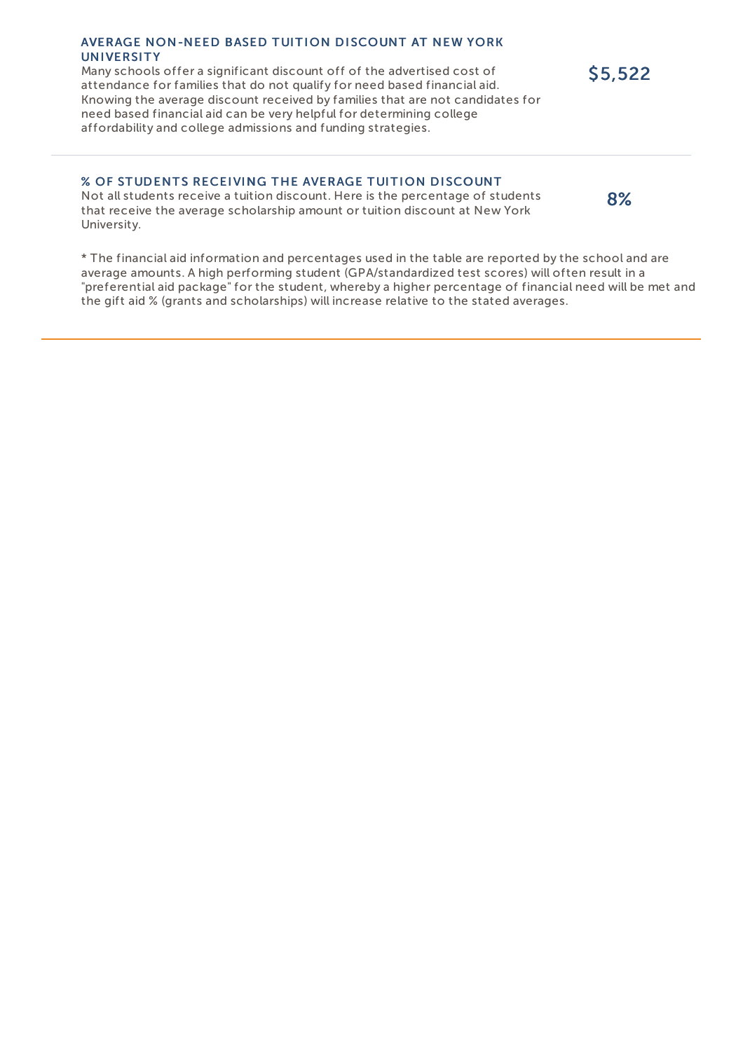#### AVERAGE NON-NEED BASED TUITION DISCOUNT AT NEW YORK **UNIVERSITY**

Many schools offer a significant discount off of the advertised cost of attendance for families that do not qualify for need based financial aid. Knowing the average discount received by families that are not candidates for need based financial aid can be very helpful for determining college affordability and college admissions and funding strategies.

## % OF STUDENTS RECEIVING THE AVERAGE TUITION DISCOUNT

Not all students receive a tuition discount. Here is the percentage of students that receive the average scholarship amount or tuition discount at New York University.

\* The financial aid information and percentages used in the table are reported by the school and are average amounts. A high performing student (GPA/standardized test scores) will often result in a "preferential aid package" for the student, whereby a higher percentage of financial need will be met and the gift aid % (grants and scholarships) will increase relative to the stated averages.

\$5,522

8%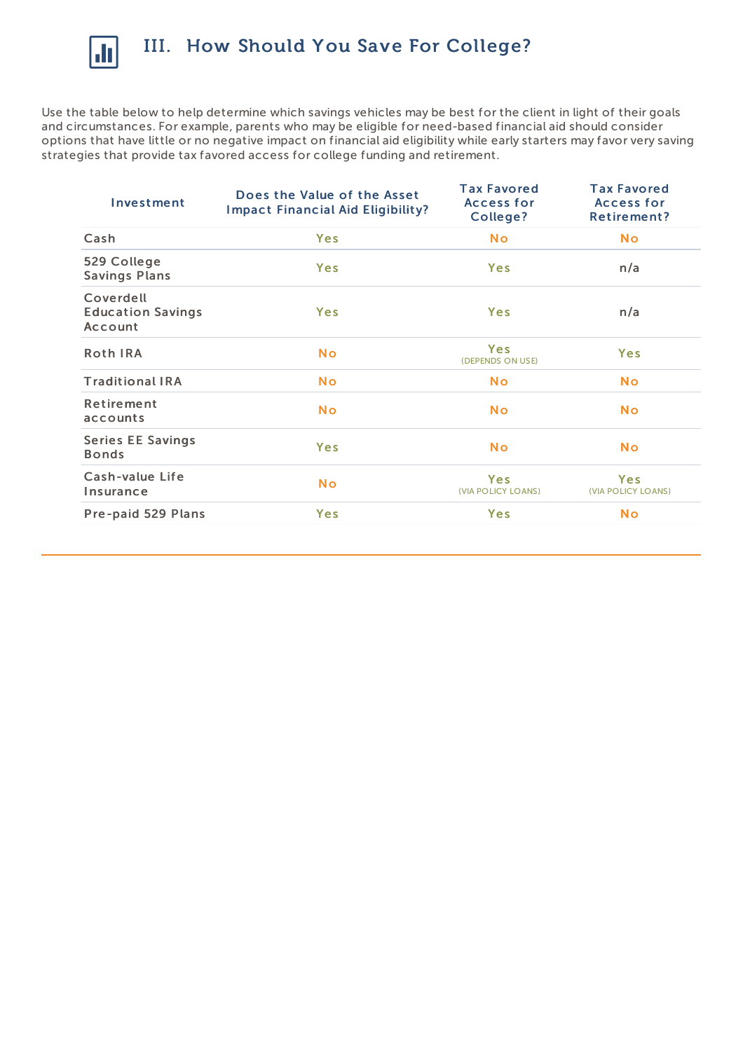

Use the table below to help determine which savings vehicles may be best for the client in light of their goals and circumstances. For example, parents who may be eligible for need-based financial aid should consider options that have little or no negative impact on financial aid eligibility while early starters may favor very saving strategies that provide tax favored access for college funding and retirement.

| Investment                                       | Does the Value of the Asset<br><b>Impact Financial Aid Eligibility?</b> | <b>Tax Favored</b><br><b>Access for</b><br>College? | <b>Tax Favored</b><br><b>Access for</b><br>Retirement? |
|--------------------------------------------------|-------------------------------------------------------------------------|-----------------------------------------------------|--------------------------------------------------------|
| Cash                                             | <b>Yes</b>                                                              | <b>No</b>                                           | <b>No</b>                                              |
| 529 College<br><b>Savings Plans</b>              | <b>Yes</b>                                                              | <b>Yes</b>                                          | n/a                                                    |
| Coverdell<br><b>Education Savings</b><br>Account | <b>Yes</b>                                                              | Yes                                                 | n/a                                                    |
| <b>Roth IRA</b>                                  | <b>No</b>                                                               | Yes<br>(DEPENDS ON USE)                             | <b>Yes</b>                                             |
| <b>Traditional IRA</b>                           | <b>No</b>                                                               | <b>No</b>                                           | <b>No</b>                                              |
| Retirement<br>accounts                           | <b>No</b>                                                               | <b>No</b>                                           | <b>No</b>                                              |
| <b>Series EE Savings</b><br><b>Bonds</b>         | Yes                                                                     | <b>No</b>                                           | <b>No</b>                                              |
| Cash-value Life<br>Insurance                     | <b>No</b>                                                               | Yes<br>(VIA POLICY LOANS)                           | Yes<br>(VIA POLICY LOANS)                              |
| Pre-paid 529 Plans                               | <b>Yes</b>                                                              | <b>Yes</b>                                          | <b>No</b>                                              |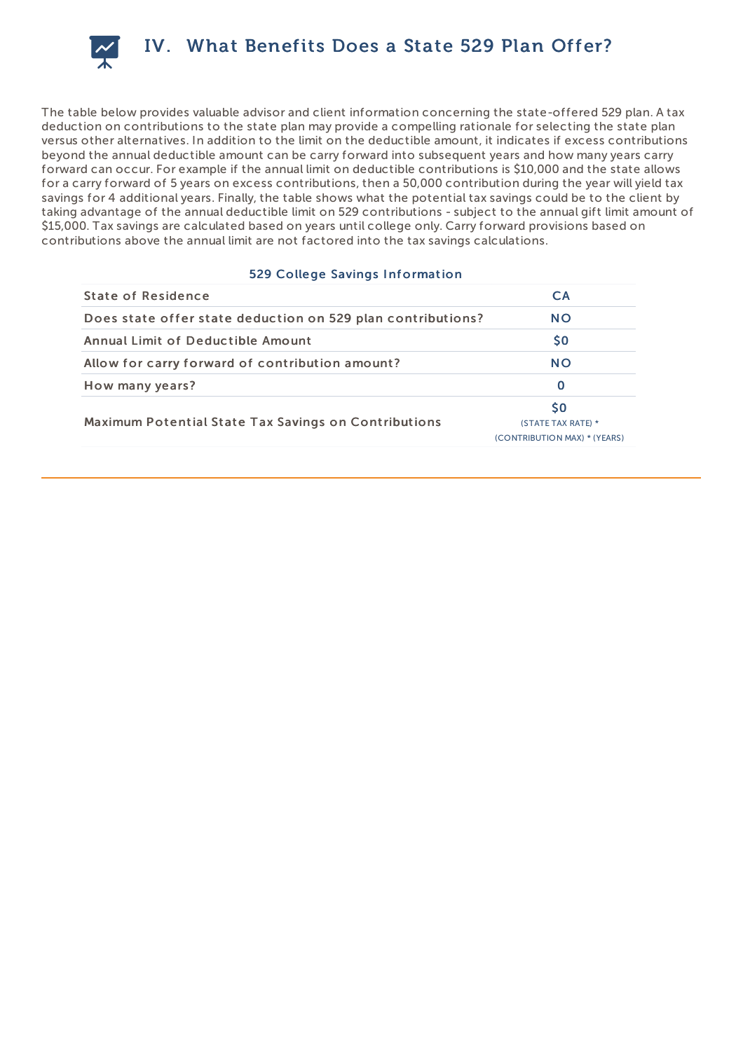

The table below provides valuable advisor and client information concerning the state-offered 529 plan. A tax deduction on contributions to the state plan may provide a compelling rationale for selecting the state plan versus other alternatives. In addition to the limit on the deductible amount, it indicates if excess contributions beyond the annual deductible amount can be carry forward into subsequent years and how many years carry forward can occur. For example if the annual limit on deductible contributions is \$10,000 and the state allows for a carry forward of 5 years on excess contributions, then a 50,000 contribution during the year will yield tax savings for 4 additional years. Finally, the table shows what the potential tax savings could be to the client by taking advantage of the annual deductible limit on 529 contributions - subject to the annual gift limit amount of \$15,000. Tax savings are calculated based on years until college only. Carry forward provisions based on contributions above the annual limit are not factored into the tax savings calculations.

## 529 College Savings Information

| <b>State of Residence</b>                                   | <b>CA</b>                                                       |
|-------------------------------------------------------------|-----------------------------------------------------------------|
| Does state offer state deduction on 529 plan contributions? | <b>NO</b>                                                       |
| Annual Limit of Deductible Amount                           | <b>SO</b>                                                       |
| Allow for carry forward of contribution amount?             | <b>NO</b>                                                       |
| How many years?                                             | $\Omega$                                                        |
| <b>Maximum Potential State Tax Savings on Contributions</b> | <b>SO</b><br>(STATE TAX RATE) *<br>(CONTRIBUTION MAX) * (YEARS) |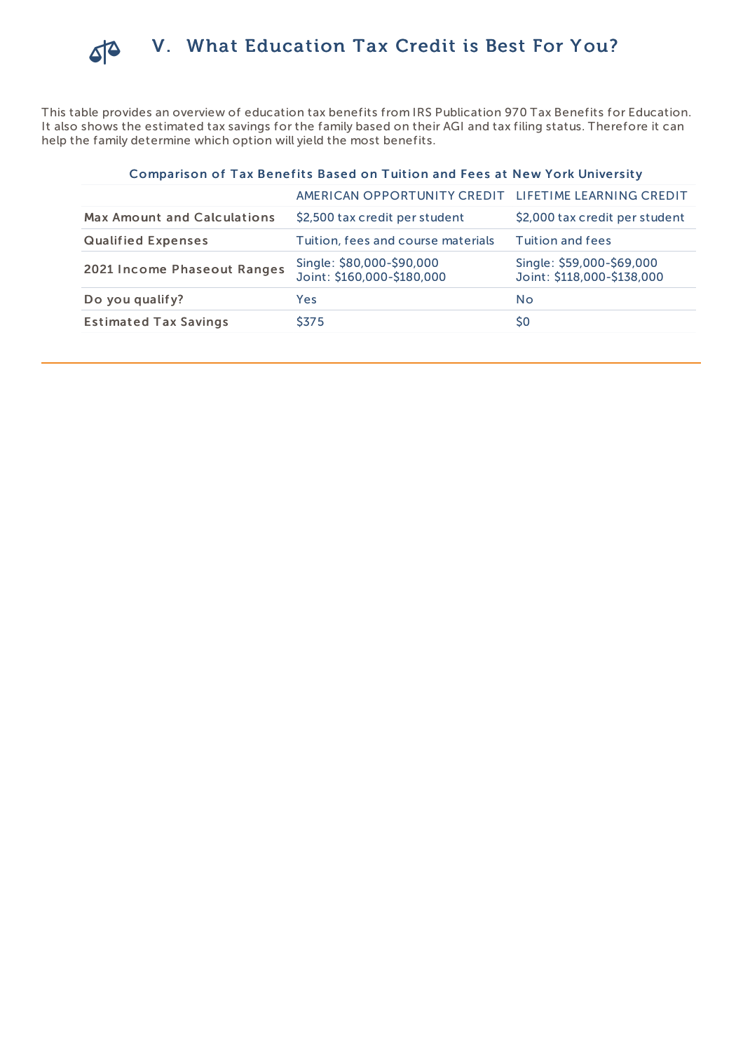

This table provides an overview of education tax benefits from IRS Publication 970 Tax Benefits for Education. It also shows the estimated tax savings for the family based on their AGI and tax filing status. Therefore it can help the family determine which option will yield the most benefits.

# Comparison of Tax Benefits Based on Tuition and Fees at New York University

|                                    | AMERICAN OPPORTUNITY CREDIT LIFETIME LEARNING CREDIT    |                                                         |
|------------------------------------|---------------------------------------------------------|---------------------------------------------------------|
| <b>Max Amount and Calculations</b> | \$2,500 tax credit per student                          | \$2,000 tax credit per student                          |
| <b>Qualified Expenses</b>          | Tuition, fees and course materials                      | Tuition and fees                                        |
| 2021 Income Phaseout Ranges        | Single: \$80,000-\$90,000<br>Joint: \$160,000-\$180,000 | Single: \$59,000-\$69,000<br>Joint: \$118,000-\$138,000 |
| Do you qualify?                    | Yes                                                     | No                                                      |
| <b>Estimated Tax Savings</b>       | \$375                                                   | S0                                                      |
|                                    |                                                         |                                                         |